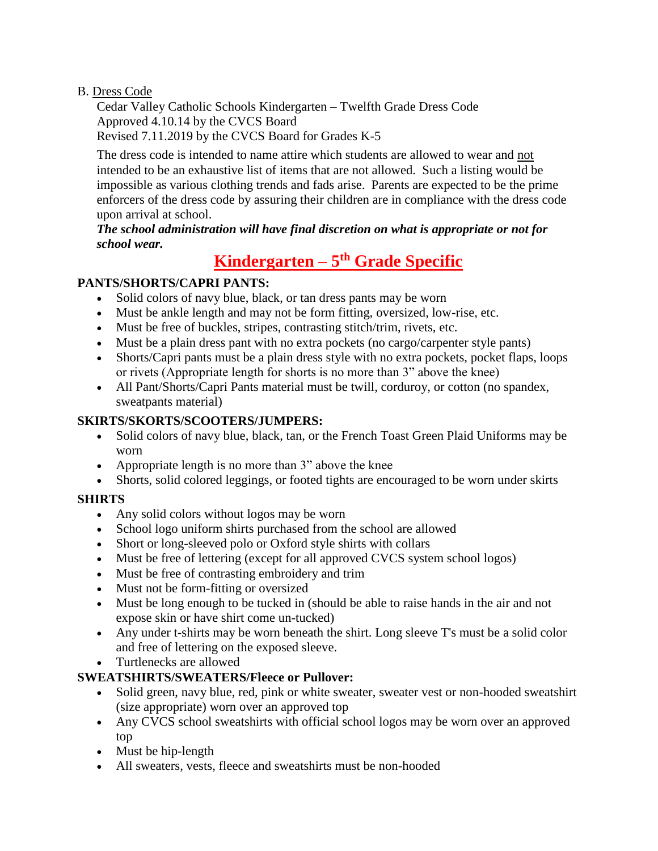#### B. Dress Code

Cedar Valley Catholic Schools Kindergarten – Twelfth Grade Dress Code Approved 4.10.14 by the CVCS Board Revised 7.11.2019 by the CVCS Board for Grades K-5

The dress code is intended to name attire which students are allowed to wear and not intended to be an exhaustive list of items that are not allowed. Such a listing would be impossible as various clothing trends and fads arise. Parents are expected to be the prime enforcers of the dress code by assuring their children are in compliance with the dress code upon arrival at school.

#### *The school administration will have final discretion on what is appropriate or not for school wear.*

# **Kindergarten – 5 th Grade Specific**

# **PANTS/SHORTS/CAPRI PANTS:**

- Solid colors of navy blue, black, or tan dress pants may be worn
- Must be ankle length and may not be form fitting, oversized, low-rise, etc.
- Must be free of buckles, stripes, contrasting stitch/trim, rivets, etc.
- Must be a plain dress pant with no extra pockets (no cargo/carpenter style pants)
- Shorts/Capri pants must be a plain dress style with no extra pockets, pocket flaps, loops or rivets (Appropriate length for shorts is no more than 3" above the knee)
- All Pant/Shorts/Capri Pants material must be twill, corduroy, or cotton (no spandex, sweatpants material)

# **SKIRTS/SKORTS/SCOOTERS/JUMPERS:**

- Solid colors of navy blue, black, tan, or the French Toast Green Plaid Uniforms may be worn
- Appropriate length is no more than 3" above the knee
- Shorts, solid colored leggings, or footed tights are encouraged to be worn under skirts

## **SHIRTS**

- Any solid colors without logos may be worn
- School logo uniform shirts purchased from the school are allowed
- Short or long-sleeved polo or Oxford style shirts with collars
- Must be free of lettering (except for all approved CVCS system school logos)
- Must be free of contrasting embroidery and trim
- Must not be form-fitting or oversized
- Must be long enough to be tucked in (should be able to raise hands in the air and not expose skin or have shirt come un-tucked)
- Any under t-shirts may be worn beneath the shirt. Long sleeve T's must be a solid color and free of lettering on the exposed sleeve.
- Turtlenecks are allowed

## **SWEATSHIRTS/SWEATERS/Fleece or Pullover:**

- Solid green, navy blue, red, pink or white sweater, sweater vest or non-hooded sweatshirt (size appropriate) worn over an approved top
- Any CVCS school sweatshirts with official school logos may be worn over an approved top
- Must be hip-length
- All sweaters, vests, fleece and sweatshirts must be non-hooded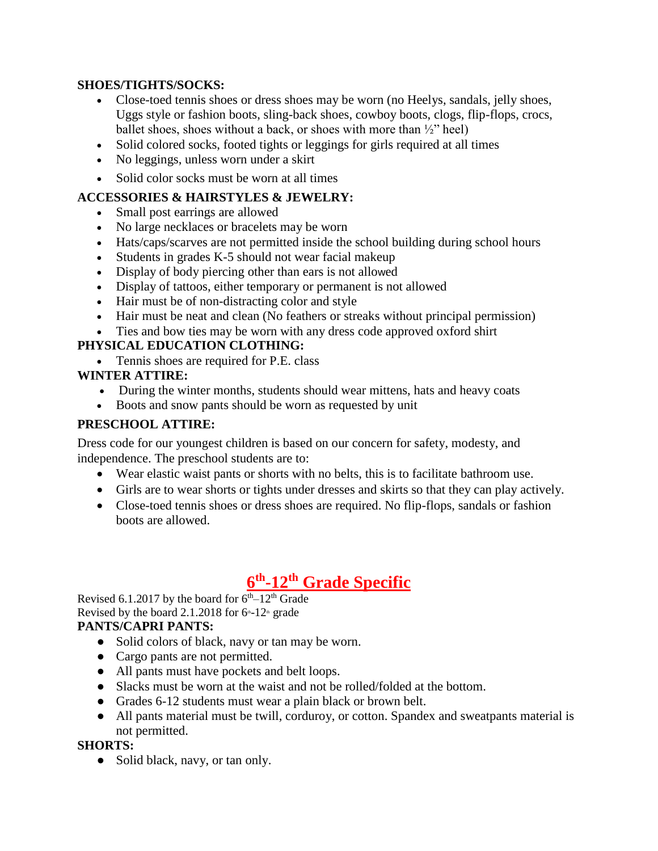#### **SHOES/TIGHTS/SOCKS:**

- Close-toed tennis shoes or dress shoes may be worn (no Heelys, sandals, jelly shoes, Uggs style or fashion boots, sling-back shoes, cowboy boots, clogs, flip-flops, crocs, ballet shoes, shoes without a back, or shoes with more than ½" heel)
- Solid colored socks, footed tights or leggings for girls required at all times
- No leggings, unless worn under a skirt
- Solid color socks must be worn at all times

## **ACCESSORIES & HAIRSTYLES & JEWELRY:**

- Small post earrings are allowed
- No large necklaces or bracelets may be worn
- Hats/caps/scarves are not permitted inside the school building during school hours
- Students in grades K-5 should not wear facial makeup
- Display of body piercing other than ears is not allowed
- Display of tattoos, either temporary or permanent is not allowed
- Hair must be of non-distracting color and style
- Hair must be neat and clean (No feathers or streaks without principal permission)
- Ties and bow ties may be worn with any dress code approved oxford shirt

## **PHYSICAL EDUCATION CLOTHING:**

• Tennis shoes are required for P.E. class

## **WINTER ATTIRE:**

- During the winter months, students should wear mittens, hats and heavy coats
- Boots and snow pants should be worn as requested by unit

## **PRESCHOOL ATTIRE:**

Dress code for our youngest children is based on our concern for safety, modesty, and independence. The preschool students are to:

- Wear elastic waist pants or shorts with no belts, this is to facilitate bathroom use.
- Girls are to wear shorts or tights under dresses and skirts so that they can play actively.
- Close-toed tennis shoes or dress shoes are required. No flip-flops, sandals or fashion boots are allowed.

# **6 th -12th Grade Specific**

Revised 6.1.2017 by the board for  $6<sup>th</sup>-12<sup>th</sup>$  Grade Revised by the board 2.1.2018 for  $6<sup>th-12<sup>th</sup></sup>$  grade

## **PANTS/CAPRI PANTS:**

- Solid colors of black, navy or tan may be worn.
- Cargo pants are not permitted.
- All pants must have pockets and belt loops.
- Slacks must be worn at the waist and not be rolled/folded at the bottom.
- Grades 6-12 students must wear a plain black or brown belt.
- All pants material must be twill, corduroy, or cotton. Spandex and sweatpants material is not permitted.

## **SHORTS:**

• Solid black, navy, or tan only.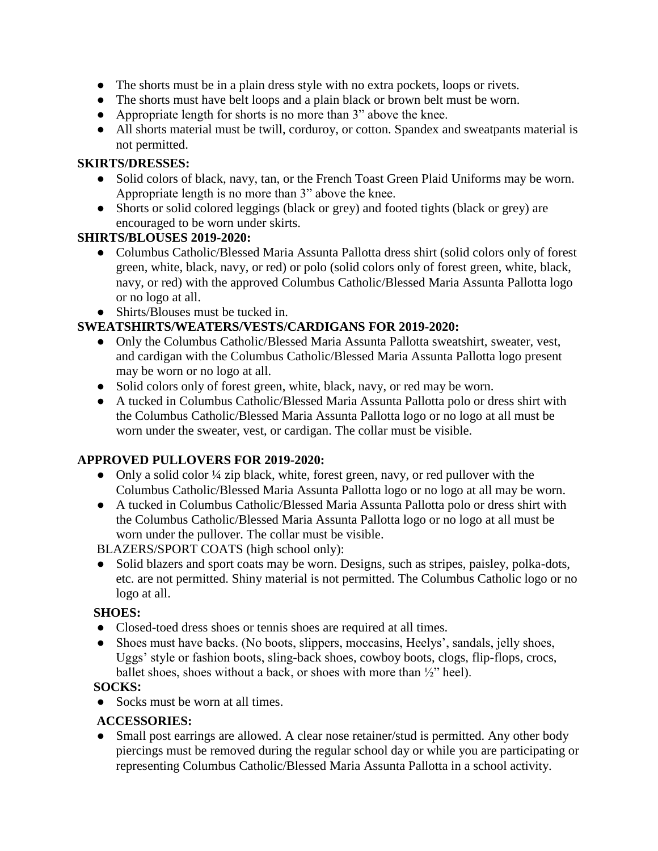- The shorts must be in a plain dress style with no extra pockets, loops or rivets.
- The shorts must have belt loops and a plain black or brown belt must be worn.
- Appropriate length for shorts is no more than 3" above the knee.
- All shorts material must be twill, corduroy, or cotton. Spandex and sweatpants material is not permitted.

#### **SKIRTS/DRESSES:**

- Solid colors of black, navy, tan, or the French Toast Green Plaid Uniforms may be worn. Appropriate length is no more than 3" above the knee.
- Shorts or solid colored leggings (black or grey) and footed tights (black or grey) are encouraged to be worn under skirts.

## **SHIRTS/BLOUSES 2019-2020:**

- Columbus Catholic/Blessed Maria Assunta Pallotta dress shirt (solid colors only of forest green, white, black, navy, or red) or polo (solid colors only of forest green, white, black, navy, or red) with the approved Columbus Catholic/Blessed Maria Assunta Pallotta logo or no logo at all.
- Shirts/Blouses must be tucked in.

# **SWEATSHIRTS/WEATERS/VESTS/CARDIGANS FOR 2019-2020:**

- Only the Columbus Catholic/Blessed Maria Assunta Pallotta sweatshirt, sweater, vest, and cardigan with the Columbus Catholic/Blessed Maria Assunta Pallotta logo present may be worn or no logo at all.
- Solid colors only of forest green, white, black, navy, or red may be worn.
- A tucked in Columbus Catholic/Blessed Maria Assunta Pallotta polo or dress shirt with the Columbus Catholic/Blessed Maria Assunta Pallotta logo or no logo at all must be worn under the sweater, vest, or cardigan. The collar must be visible.

## **APPROVED PULLOVERS FOR 2019-2020:**

- Only a solid color ¼ zip black, white, forest green, navy, or red pullover with the Columbus Catholic/Blessed Maria Assunta Pallotta logo or no logo at all may be worn.
- A tucked in Columbus Catholic/Blessed Maria Assunta Pallotta polo or dress shirt with the Columbus Catholic/Blessed Maria Assunta Pallotta logo or no logo at all must be worn under the pullover. The collar must be visible.

BLAZERS/SPORT COATS (high school only):

Solid blazers and sport coats may be worn. Designs, such as stripes, paisley, polka-dots, etc. are not permitted. Shiny material is not permitted. The Columbus Catholic logo or no logo at all.

## **SHOES:**

- Closed-toed dress shoes or tennis shoes are required at all times.
- Shoes must have backs. (No boots, slippers, moccasins, Heelys', sandals, jelly shoes, Uggs' style or fashion boots, sling-back shoes, cowboy boots, clogs, flip-flops, crocs, ballet shoes, shoes without a back, or shoes with more than ½" heel).

## **SOCKS:**

• Socks must be worn at all times.

## **ACCESSORIES:**

• Small post earrings are allowed. A clear nose retainer/stud is permitted. Any other body piercings must be removed during the regular school day or while you are participating or representing Columbus Catholic/Blessed Maria Assunta Pallotta in a school activity.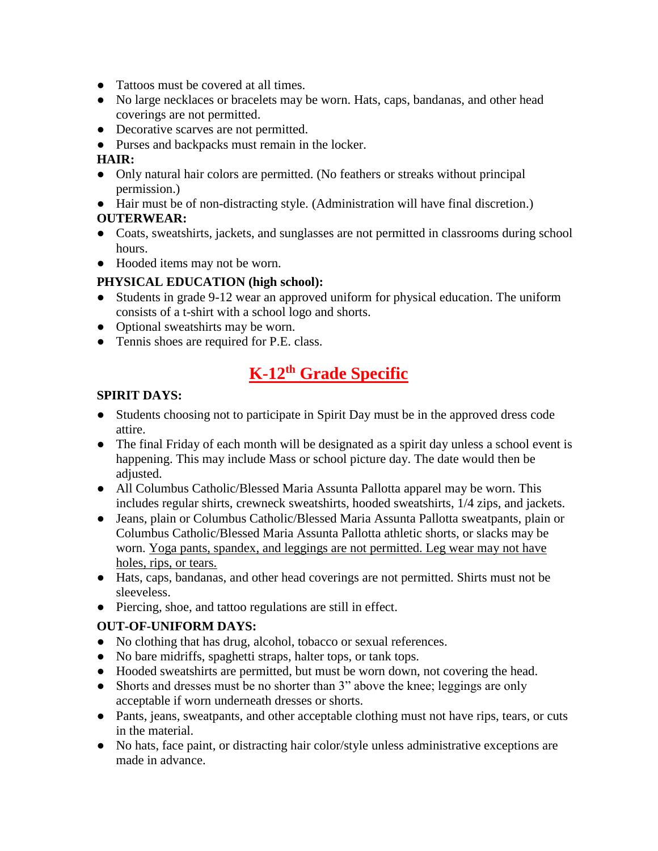- Tattoos must be covered at all times.
- No large necklaces or bracelets may be worn. Hats, caps, bandanas, and other head coverings are not permitted.
- Decorative scarves are not permitted.
- Purses and backpacks must remain in the locker.

#### **HAIR:**

- Only natural hair colors are permitted. (No feathers or streaks without principal permission.)
- Hair must be of non-distracting style. (Administration will have final discretion.) **OUTERWEAR:**
- Coats, sweatshirts, jackets, and sunglasses are not permitted in classrooms during school hours.
- Hooded items may not be worn.

## **PHYSICAL EDUCATION (high school):**

- Students in grade 9-12 wear an approved uniform for physical education. The uniform consists of a t-shirt with a school logo and shorts.
- Optional sweatshirts may be worn.
- Tennis shoes are required for P.E. class.

# **K-12th Grade Specific**

#### **SPIRIT DAYS:**

- Students choosing not to participate in Spirit Day must be in the approved dress code attire.
- The final Friday of each month will be designated as a spirit day unless a school event is happening. This may include Mass or school picture day. The date would then be adjusted.
- All Columbus Catholic/Blessed Maria Assunta Pallotta apparel may be worn. This includes regular shirts, crewneck sweatshirts, hooded sweatshirts, 1/4 zips, and jackets.
- Jeans, plain or Columbus Catholic/Blessed Maria Assunta Pallotta sweatpants, plain or Columbus Catholic/Blessed Maria Assunta Pallotta athletic shorts, or slacks may be worn. Yoga pants, spandex, and leggings are not permitted. Leg wear may not have holes, rips, or tears.
- Hats, caps, bandanas, and other head coverings are not permitted. Shirts must not be sleeveless.
- Piercing, shoe, and tattoo regulations are still in effect.

## **OUT-OF-UNIFORM DAYS:**

- No clothing that has drug, alcohol, tobacco or sexual references.
- No bare midriffs, spaghetti straps, halter tops, or tank tops.
- Hooded sweatshirts are permitted, but must be worn down, not covering the head.
- Shorts and dresses must be no shorter than 3" above the knee; leggings are only acceptable if worn underneath dresses or shorts.
- Pants, jeans, sweatpants, and other acceptable clothing must not have rips, tears, or cuts in the material.
- No hats, face paint, or distracting hair color/style unless administrative exceptions are made in advance.